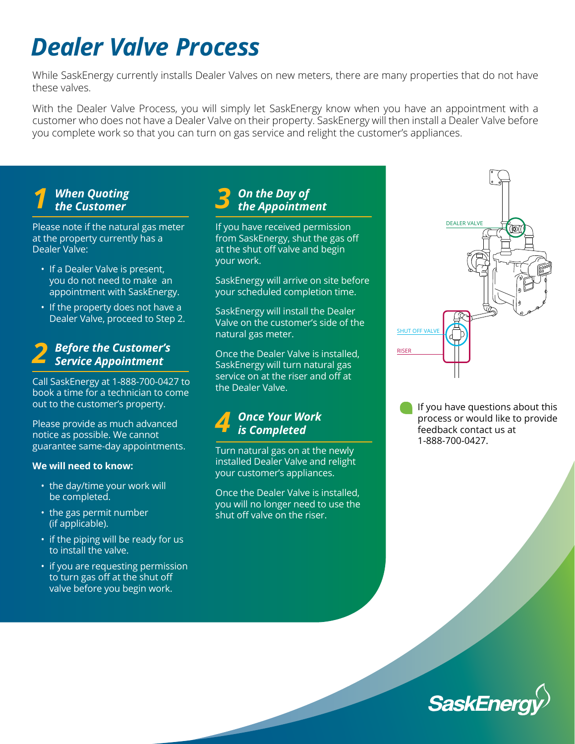# *Dealer Valve Process*

While SaskEnergy currently installs Dealer Valves on new meters, there are many properties that do not have these valves.

With the Dealer Valve Process, you will simply let SaskEnergy know when you have an appointment with a customer who does not have a Dealer Valve on their property. SaskEnergy will then install a Dealer Valve before you complete work so that you can turn on gas service and relight the customer's appliances.

#### *1 When Quoting the Customer*

Please note if the natural gas meter at the property currently has a Dealer Valve:

- If a Dealer Valve is present, you do not need to make an appointment with SaskEnergy.
- If the property does not have a Dealer Valve, proceed to Step 2.

### *2 Before the Customer's Service Appointment*

Call SaskEnergy at 1-888-700-0427 to book a time for a technician to come out to the customer's property.

Please provide as much advanced notice as possible. We cannot guarantee same-day appointments.

#### **We will need to know:**

- the day/time your work will be completed.
- the gas permit number (if applicable).
- if the piping will be ready for us to install the valve.
- if you are requesting permission to turn gas off at the shut off valve before you begin work.

#### *3 On the Day of the Appointment*

If you have received permission from SaskEnergy, shut the gas off at the shut off valve and begin your work.

SaskEnergy will arrive on site before your scheduled completion time.

SaskEnergy will install the Dealer Valve on the customer's side of the natural gas meter.

Once the Dealer Valve is installed, SaskEnergy will turn natural gas service on at the riser and off at the Dealer Valve.



Turn natural gas on at the newly installed Dealer Valve and relight your customer's appliances.

Once the Dealer Valve is installed, you will no longer need to use the shut off valve on the riser.



If you have questions about this process or would like to provide feedback contact us at 1-888-700-0427.